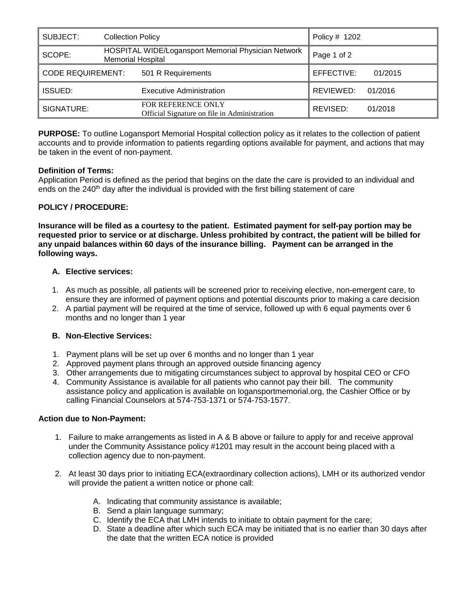| SUBJECT:                 | <b>Collection Policy</b>                                                        | Policy # 1202         |
|--------------------------|---------------------------------------------------------------------------------|-----------------------|
| SCOPE:                   | HOSPITAL WIDE/Logansport Memorial Physician Network<br><b>Memorial Hospital</b> | Page 1 of 2           |
| <b>CODE REQUIREMENT:</b> | 501 R Requirements                                                              | EFFECTIVE:<br>01/2015 |
| <b>ISSUED:</b>           | <b>Executive Administration</b>                                                 | REVIEWED:<br>01/2016  |
| SIGNATURE:               | FOR REFERENCE ONLY<br>Official Signature on file in Administration              | REVISED:<br>01/2018   |

**PURPOSE:** To outline Logansport Memorial Hospital collection policy as it relates to the collection of patient accounts and to provide information to patients regarding options available for payment, and actions that may be taken in the event of non-payment.

# **Definition of Terms:**

Application Period is defined as the period that begins on the date the care is provided to an individual and ends on the 240<sup>th</sup> day after the individual is provided with the first billing statement of care

# **POLICY / PROCEDURE:**

**Insurance will be filed as a courtesy to the patient. Estimated payment for self-pay portion may be requested prior to service or at discharge. Unless prohibited by contract, the patient will be billed for any unpaid balances within 60 days of the insurance billing. Payment can be arranged in the following ways.**

# **A. Elective services:**

- 1. As much as possible, all patients will be screened prior to receiving elective, non-emergent care, to ensure they are informed of payment options and potential discounts prior to making a care decision
- 2. A partial payment will be required at the time of service, followed up with 6 equal payments over 6 months and no longer than 1 year

## **B. Non-Elective Services:**

- 1. Payment plans will be set up over 6 months and no longer than 1 year
- 2. Approved payment plans through an approved outside financing agency
- 3. Other arrangements due to mitigating circumstances subject to approval by hospital CEO or CFO
- 4. Community Assistance is available for all patients who cannot pay their bill. The community assistance policy and application is available on logansportmemorial.org, the Cashier Office or by calling Financial Counselors at 574-753-1371 or 574-753-1577.

## **Action due to Non-Payment:**

- 1. Failure to make arrangements as listed in A & B above or failure to apply for and receive approval under the Community Assistance policy #1201 may result in the account being placed with a collection agency due to non-payment.
- 2. At least 30 days prior to initiating ECA(extraordinary collection actions), LMH or its authorized vendor will provide the patient a written notice or phone call:
	- A. Indicating that community assistance is available;
	- B. Send a plain language summary;
	- C. Identify the ECA that LMH intends to initiate to obtain payment for the care;
	- D. State a deadline after which such ECA may be initiated that is no earlier than 30 days after the date that the written ECA notice is provided